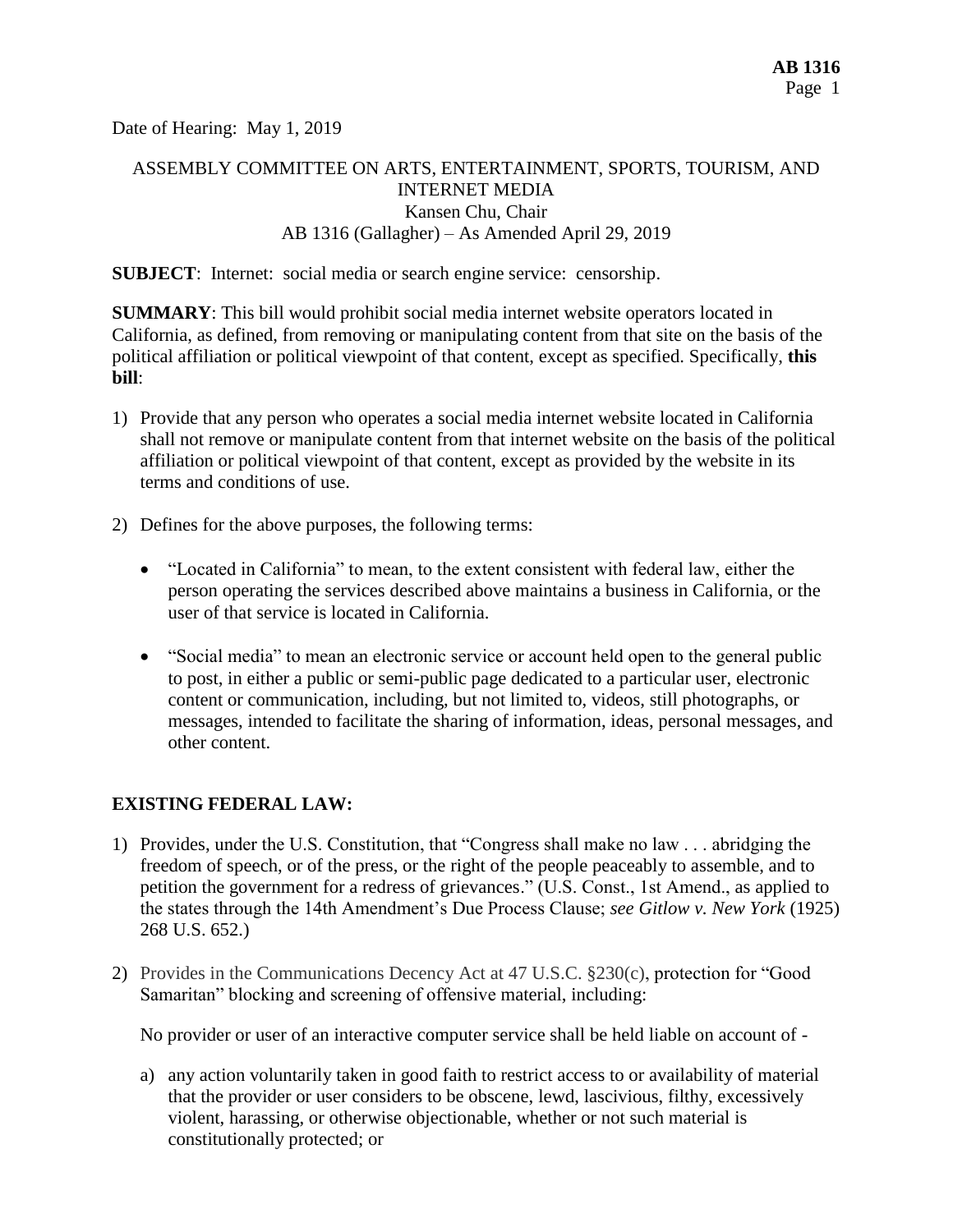Date of Hearing: May 1, 2019

# ASSEMBLY COMMITTEE ON ARTS, ENTERTAINMENT, SPORTS, TOURISM, AND INTERNET MEDIA Kansen Chu, Chair AB 1316 (Gallagher) – As Amended April 29, 2019

**SUBJECT**: Internet: social media or search engine service: censorship.

**SUMMARY**: This bill would prohibit social media internet website operators located in California, as defined, from removing or manipulating content from that site on the basis of the political affiliation or political viewpoint of that content, except as specified. Specifically, **this bill**:

- 1) Provide that any person who operates a social media internet website located in California shall not remove or manipulate content from that internet website on the basis of the political affiliation or political viewpoint of that content, except as provided by the website in its terms and conditions of use.
- 2) Defines for the above purposes, the following terms:
	- "Located in California" to mean, to the extent consistent with federal law, either the person operating the services described above maintains a business in California, or the user of that service is located in California.
	- "Social media" to mean an electronic service or account held open to the general public to post, in either a public or semi-public page dedicated to a particular user, electronic content or communication, including, but not limited to, videos, still photographs, or messages, intended to facilitate the sharing of information, ideas, personal messages, and other content.

### **EXISTING FEDERAL LAW:**

- 1) Provides, under the U.S. Constitution, that "Congress shall make no law . . . abridging the freedom of speech, or of the press, or the right of the people peaceably to assemble, and to petition the government for a redress of grievances." (U.S. Const., 1st Amend., as applied to the states through the 14th Amendment's Due Process Clause; *see Gitlow v. New York* (1925) 268 U.S. 652.)
- 2) Provides in the Communications Decency Act at 47 U.S.C. §230(c), protection for "Good Samaritan" blocking and screening of offensive material, including:

No provider or user of an interactive computer service shall be held liable on account of -

a) any action voluntarily taken in good faith to restrict access to or availability of material that the provider or user considers to be obscene, lewd, lascivious, filthy, excessively violent, harassing, or otherwise objectionable, whether or not such material is constitutionally protected; or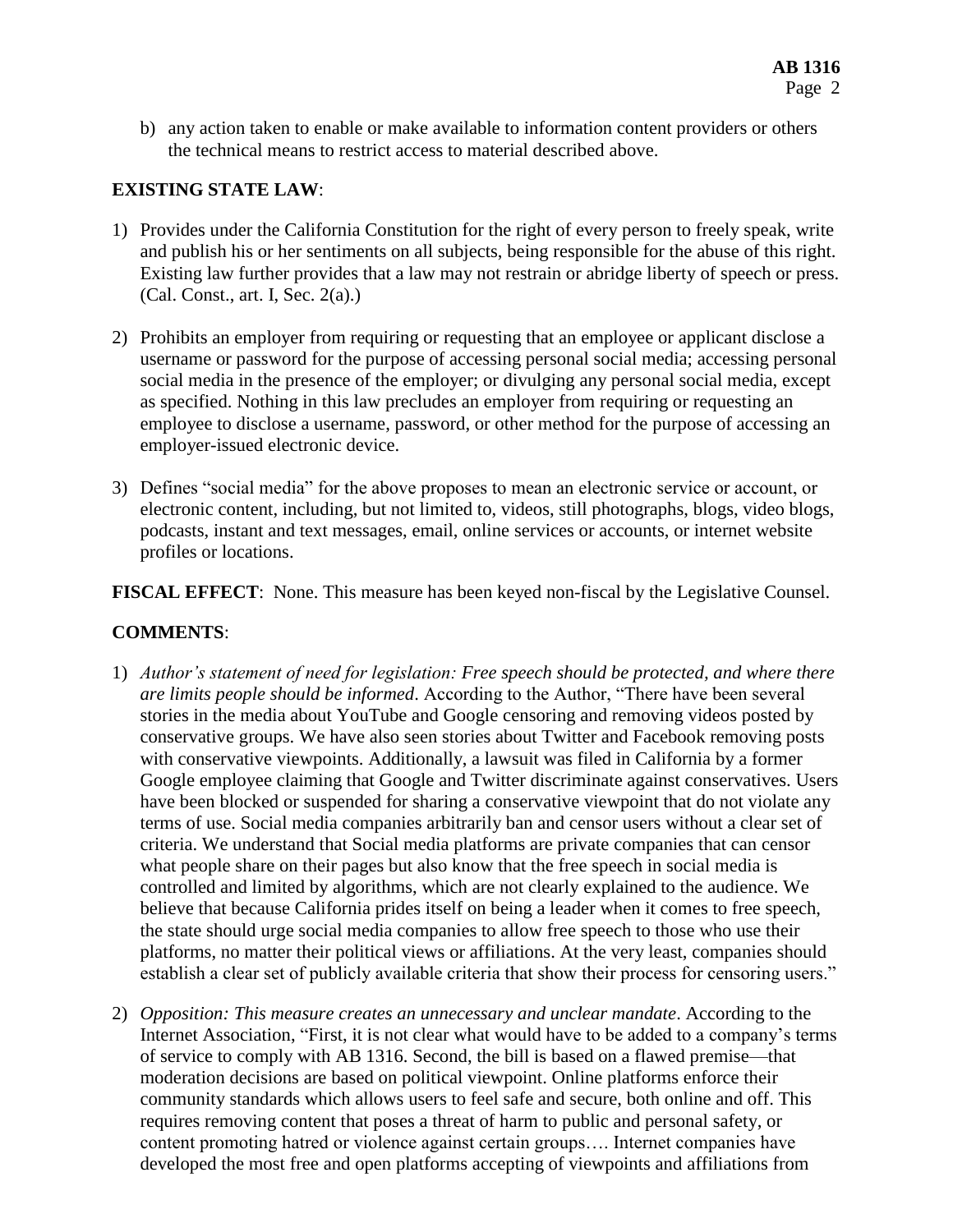b) any action taken to enable or make available to information content providers or others the technical means to restrict access to material described above.

## **EXISTING STATE LAW**:

- 1) Provides under the California Constitution for the right of every person to freely speak, write and publish his or her sentiments on all subjects, being responsible for the abuse of this right. Existing law further provides that a law may not restrain or abridge liberty of speech or press. (Cal. Const., art. I, Sec. 2(a).)
- 2) Prohibits an employer from requiring or requesting that an employee or applicant disclose a username or password for the purpose of accessing personal social media; accessing personal social media in the presence of the employer; or divulging any personal social media, except as specified. Nothing in this law precludes an employer from requiring or requesting an employee to disclose a username, password, or other method for the purpose of accessing an employer-issued electronic device.
- 3) Defines "social media" for the above proposes to mean an electronic service or account, or electronic content, including, but not limited to, videos, still photographs, blogs, video blogs, podcasts, instant and text messages, email, online services or accounts, or internet website profiles or locations.

**FISCAL EFFECT**: None. This measure has been keyed non-fiscal by the Legislative Counsel.

### **COMMENTS**:

- 1) *Author's statement of need for legislation: Free speech should be protected, and where there are limits people should be informed*. According to the Author, "There have been several stories in the media about YouTube and Google censoring and removing videos posted by conservative groups. We have also seen stories about Twitter and Facebook removing posts with conservative viewpoints. Additionally, a lawsuit was filed in California by a former Google employee claiming that Google and Twitter discriminate against conservatives. Users have been blocked or suspended for sharing a conservative viewpoint that do not violate any terms of use. Social media companies arbitrarily ban and censor users without a clear set of criteria. We understand that Social media platforms are private companies that can censor what people share on their pages but also know that the free speech in social media is controlled and limited by algorithms, which are not clearly explained to the audience. We believe that because California prides itself on being a leader when it comes to free speech, the state should urge social media companies to allow free speech to those who use their platforms, no matter their political views or affiliations. At the very least, companies should establish a clear set of publicly available criteria that show their process for censoring users."
- 2) *Opposition: This measure creates an unnecessary and unclear mandate*. According to the Internet Association, "First, it is not clear what would have to be added to a company's terms of service to comply with AB 1316. Second, the bill is based on a flawed premise—that moderation decisions are based on political viewpoint. Online platforms enforce their community standards which allows users to feel safe and secure, both online and off. This requires removing content that poses a threat of harm to public and personal safety, or content promoting hatred or violence against certain groups…. Internet companies have developed the most free and open platforms accepting of viewpoints and affiliations from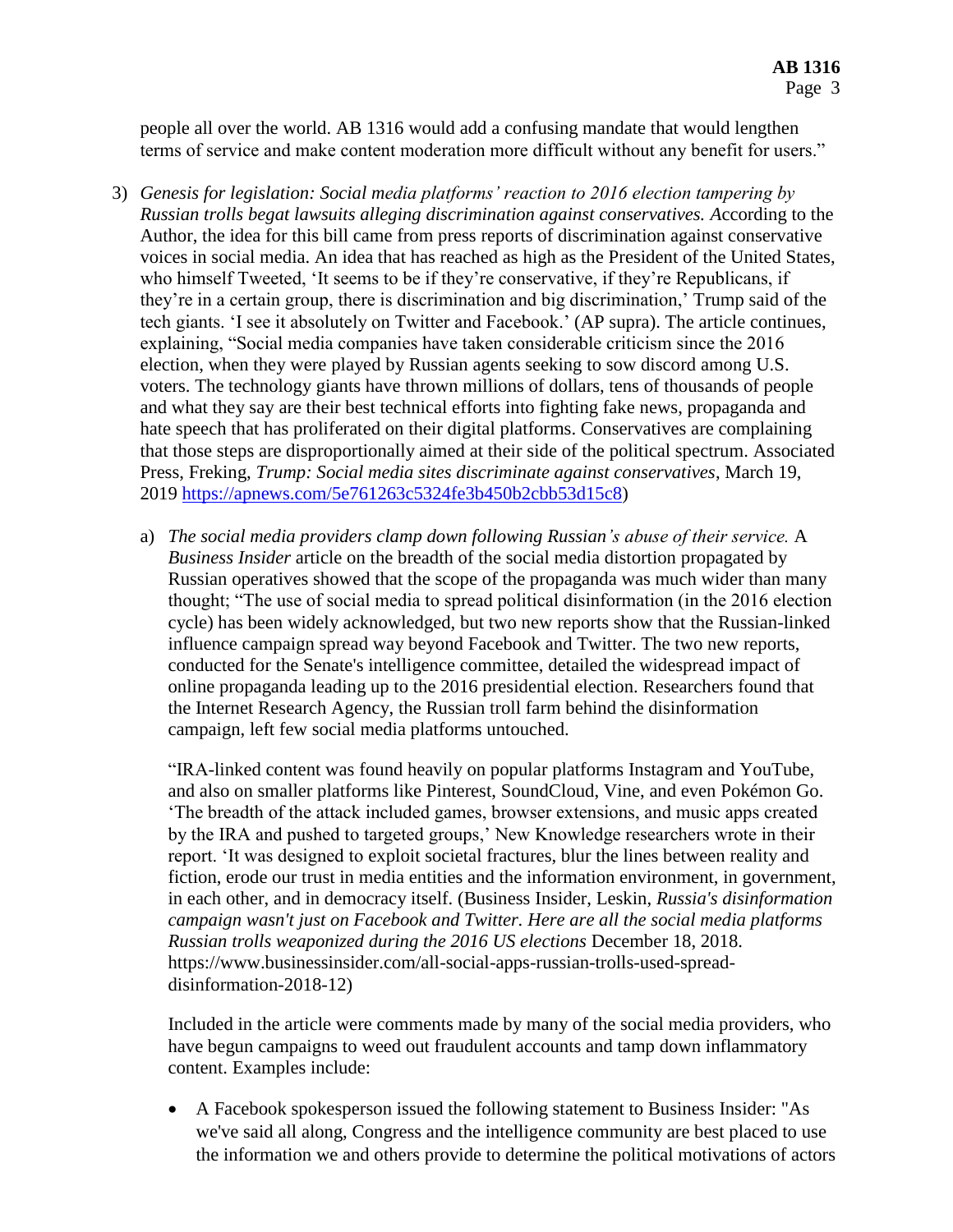people all over the world. AB 1316 would add a confusing mandate that would lengthen terms of service and make content moderation more difficult without any benefit for users."

- 3) *Genesis for legislation: Social media platforms' reaction to 2016 election tampering by Russian trolls begat lawsuits alleging discrimination against conservatives. A*ccording to the Author, the idea for this bill came from press reports of discrimination against conservative voices in social media. An idea that has reached as high as the President of the United States, who himself Tweeted, 'It seems to be if they're conservative, if they're Republicans, if they're in a certain group, there is discrimination and big discrimination,' Trump said of the tech giants. 'I see it absolutely on Twitter and Facebook.' (AP supra). The article continues, explaining, "Social media companies have taken considerable criticism since the 2016 election, when they were played by Russian agents seeking to sow discord among U.S. voters. The technology giants have thrown millions of dollars, tens of thousands of people and what they say are their best technical efforts into fighting fake news, propaganda and hate speech that has proliferated on their digital platforms. Conservatives are complaining that those steps are disproportionally aimed at their side of the political spectrum. Associated Press, Freking, *Trump: Social media sites discriminate against conservatives*, March 19, 2019 [https://apnews.com/5e761263c5324fe3b450b2cbb53d15c8\)](https://apnews.com/5e761263c5324fe3b450b2cbb53d15c8)
	- a) *The social media providers clamp down following Russian's abuse of their service.* A *Business Insider* article on the breadth of the social media distortion propagated by Russian operatives showed that the scope of the propaganda was much wider than many thought; "The use of social media to spread political disinformation (in the 2016 election cycle) has been widely acknowledged, but two new reports show that the Russian-linked influence campaign spread way beyond Facebook and Twitter. The two new reports, conducted for the Senate's intelligence committee, detailed the widespread impact of online propaganda leading up to the 2016 presidential election. Researchers found that the Internet Research Agency, the Russian troll farm behind the disinformation campaign, left few social media platforms untouched.

"IRA-linked content was found heavily on popular platforms Instagram and YouTube, and also on smaller platforms like Pinterest, SoundCloud, Vine, and even Pokémon Go. 'The breadth of the attack included games, browser extensions, and music apps created by the IRA and pushed to targeted groups,' New Knowledge researchers wrote in their report. 'It was designed to exploit societal fractures, blur the lines between reality and fiction, erode our trust in media entities and the information environment, in government, in each other, and in democracy itself. (Business Insider, Leskin, *Russia's disinformation campaign wasn't just on Facebook and Twitter. Here are all the social media platforms Russian trolls weaponized during the 2016 US elections* December 18, 2018. https://www.businessinsider.com/all-social-apps-russian-trolls-used-spreaddisinformation-2018-12)

Included in the article were comments made by many of the social media providers, who have begun campaigns to weed out fraudulent accounts and tamp down inflammatory content. Examples include:

 A Facebook spokesperson issued the following statement to Business Insider: "As we've said all along, Congress and the intelligence community are best placed to use the information we and others provide to determine the political motivations of actors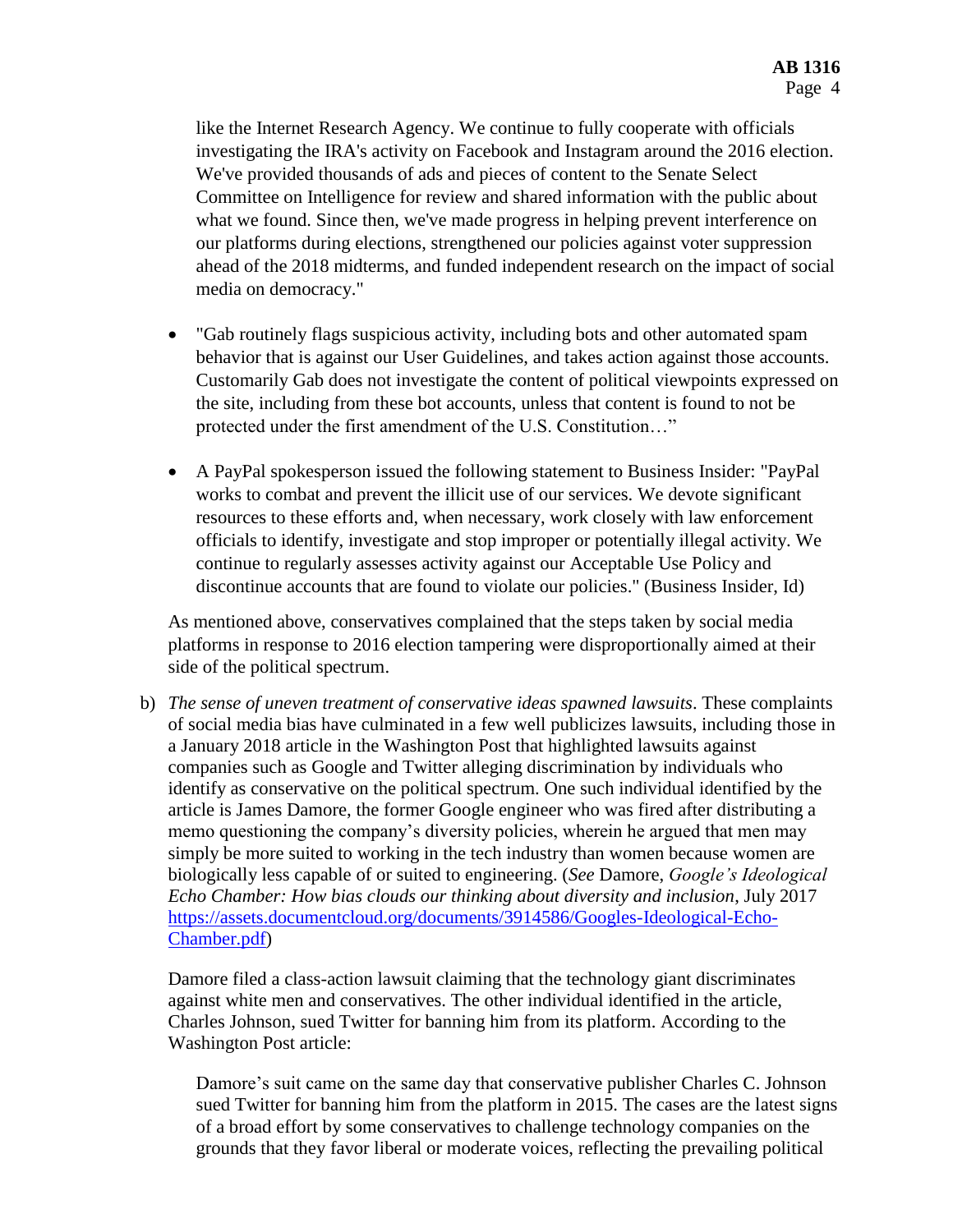like the Internet Research Agency. We continue to fully cooperate with officials investigating the IRA's activity on Facebook and Instagram around the 2016 election. We've provided thousands of ads and pieces of content to the Senate Select Committee on Intelligence for review and shared information with the public about what we found. Since then, we've made progress in helping prevent interference on our platforms during elections, strengthened our policies against voter suppression ahead of the 2018 midterms, and funded independent research on the impact of social media on democracy."

- "Gab routinely flags suspicious activity, including bots and other automated spam behavior that is against our User Guidelines, and takes action against those accounts. Customarily Gab does not investigate the content of political viewpoints expressed on the site, including from these bot accounts, unless that content is found to not be protected under the first amendment of the U.S. Constitution…"
- A PayPal spokesperson issued the following statement to Business Insider: "PayPal works to combat and prevent the illicit use of our services. We devote significant resources to these efforts and, when necessary, work closely with law enforcement officials to identify, investigate and stop improper or potentially illegal activity. We continue to regularly assesses activity against our Acceptable Use Policy and discontinue accounts that are found to violate our policies." (Business Insider, Id)

As mentioned above, conservatives complained that the steps taken by social media platforms in response to 2016 election tampering were disproportionally aimed at their side of the political spectrum.

b) *The sense of uneven treatment of conservative ideas spawned lawsuits*. These complaints of social media bias have culminated in a few well publicizes lawsuits, including those in a January 2018 article in the Washington Post that highlighted lawsuits against companies such as Google and Twitter alleging discrimination by individuals who identify as conservative on the political spectrum. One such individual identified by the article is James Damore, the former Google engineer who was fired after distributing a memo questioning the company's diversity policies, wherein he argued that men may simply be more suited to working in the tech industry than women because women are biologically less capable of or suited to engineering. (*See* Damore, *Google's Ideological Echo Chamber: How bias clouds our thinking about diversity and inclusion*, July 2017 [https://assets.documentcloud.org/documents/3914586/Googles-Ideological-Echo-](https://assets.documentcloud.org/documents/3914586/Googles-Ideological-Echo-Chamber.pdf)[Chamber.pdf\)](https://assets.documentcloud.org/documents/3914586/Googles-Ideological-Echo-Chamber.pdf)

Damore filed a class-action lawsuit claiming that the technology giant discriminates against white men and conservatives. The other individual identified in the article, Charles Johnson, sued Twitter for banning him from its platform. According to the Washington Post article:

Damore's suit came on the same day that conservative publisher Charles C. Johnson sued Twitter for banning him from the platform in 2015. The cases are the latest signs of a broad effort by some conservatives to challenge technology companies on the grounds that they favor liberal or moderate voices, reflecting the prevailing political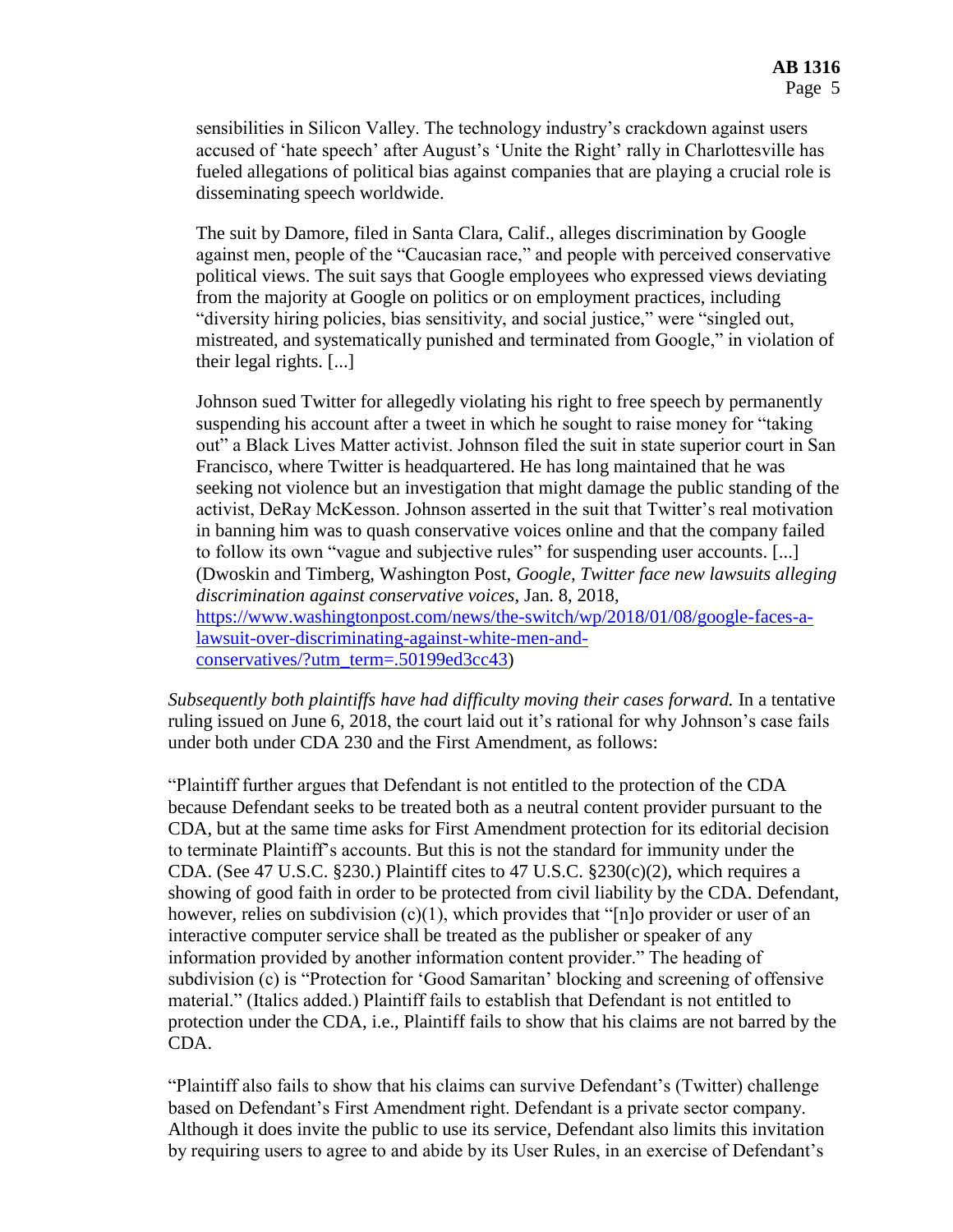sensibilities in Silicon Valley. The technology industry's crackdown against users accused of 'hate speech' after August's 'Unite the Right' rally in Charlottesville has fueled allegations of political bias against companies that are playing a crucial role is disseminating speech worldwide.

The suit by Damore, filed in Santa Clara, Calif., alleges discrimination by Google against men, people of the "Caucasian race," and people with perceived conservative political views. The suit says that Google employees who expressed views deviating from the majority at Google on politics or on employment practices, including "diversity hiring policies, bias sensitivity, and social justice," were "singled out, mistreated, and systematically punished and terminated from Google," in violation of their legal rights. [...]

Johnson sued Twitter for allegedly violating his right to free speech by permanently suspending his account after a tweet in which he sought to raise money for "taking out" a Black Lives Matter activist. Johnson filed the suit in state superior court in San Francisco, where Twitter is headquartered. He has long maintained that he was seeking not violence but an investigation that might damage the public standing of the activist, DeRay McKesson. Johnson asserted in the suit that Twitter's real motivation in banning him was to quash conservative voices online and that the company failed to follow its own "vague and subjective rules" for suspending user accounts. [...] (Dwoskin and Timberg, Washington Post, *Google, Twitter face new lawsuits alleging discrimination against conservative voices*, Jan. 8, 2018, [https://www.washingtonpost.com/news/the-switch/wp/2018/01/08/google-faces-a](https://www.washingtonpost.com/news/the-switch/wp/2018/01/08/google-faces-a-lawsuit-over-discriminating-against-white-men-and-conservatives/?utm_term=.50199ed3cc43)[lawsuit-over-discriminating-against-white-men-and](https://www.washingtonpost.com/news/the-switch/wp/2018/01/08/google-faces-a-lawsuit-over-discriminating-against-white-men-and-conservatives/?utm_term=.50199ed3cc43)[conservatives/?utm\\_term=.50199ed3cc43\)](https://www.washingtonpost.com/news/the-switch/wp/2018/01/08/google-faces-a-lawsuit-over-discriminating-against-white-men-and-conservatives/?utm_term=.50199ed3cc43)

*Subsequently both plaintiffs have had difficulty moving their cases forward.* In a tentative ruling issued on June 6, 2018, the court laid out it's rational for why Johnson's case fails under both under CDA 230 and the First Amendment, as follows:

"Plaintiff further argues that Defendant is not entitled to the protection of the CDA because Defendant seeks to be treated both as a neutral content provider pursuant to the CDA, but at the same time asks for First Amendment protection for its editorial decision to terminate Plaintiff's accounts. But this is not the standard for immunity under the CDA. (See 47 U.S.C. §230.) Plaintiff cites to 47 U.S.C. §230(c)(2), which requires a showing of good faith in order to be protected from civil liability by the CDA. Defendant, however, relies on subdivision (c)(1), which provides that "[n]o provider or user of an interactive computer service shall be treated as the publisher or speaker of any information provided by another information content provider." The heading of subdivision (c) is "Protection for 'Good Samaritan' blocking and screening of offensive material." (Italics added.) Plaintiff fails to establish that Defendant is not entitled to protection under the CDA, i.e., Plaintiff fails to show that his claims are not barred by the CDA.

"Plaintiff also fails to show that his claims can survive Defendant's (Twitter) challenge based on Defendant's First Amendment right. Defendant is a private sector company. Although it does invite the public to use its service, Defendant also limits this invitation by requiring users to agree to and abide by its User Rules, in an exercise of Defendant's